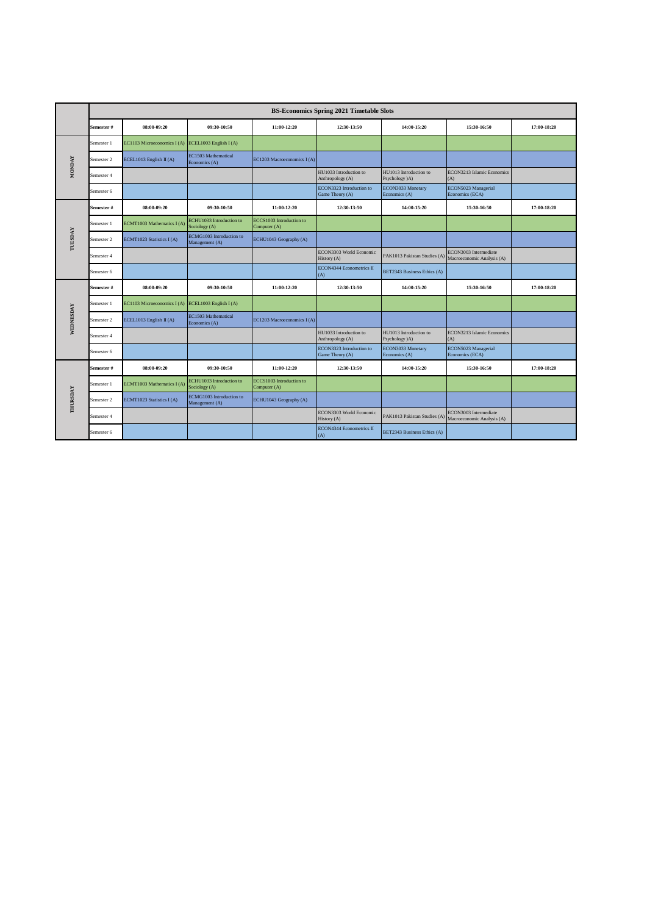|               |            |                             |                                            |                                          | <b>BS-Economics Spring 2021 Timetable Slots</b> |                                          |                                                     |             |
|---------------|------------|-----------------------------|--------------------------------------------|------------------------------------------|-------------------------------------------------|------------------------------------------|-----------------------------------------------------|-------------|
|               | Semester # | 08:00-09:20                 | 09:30-10:50                                | 11:00-12:20                              | 12:30-13:50                                     | 14:00-15:20                              | 15:30-16:50                                         | 17:00-18:20 |
|               | Semester 1 | EC1103 Microeconomics I (A) | ECEL1003 English I (A)                     |                                          |                                                 |                                          |                                                     |             |
|               | Semester 2 | ECEL1013 English II (A)     | EC1503 Mathematical<br>Economics (A)       | EC1203 Macroeconomics I(A)               |                                                 |                                          |                                                     |             |
| <b>MONDAY</b> | Semester 4 |                             |                                            |                                          | HU1033 Introduction to<br>Anthropology (A)      | HU1013 Introduction to<br>Psychology (A) | ECON3213 Islamic Economics<br>(A)                   |             |
|               | Semester 6 |                             |                                            |                                          | ECON3323 Introduction to<br>Game Theory (A)     | ECON3033 Monetary<br>Economics (A)       | ECON5023 Managerial<br>Economics (ECA)              |             |
|               | Semester # | 08:00-09:20                 | 09:30-10:50                                | 11:00-12:20                              | 12:30-13:50                                     | 14:00-15:20                              | 15:30-16:50                                         | 17:00-18:20 |
| TUESDAY       | Semester 1 | ECMT1003 Mathematics I(A)   | ECHU1033 Introduction to<br>Sociology (A)  | ECCS1003 Introduction to<br>Computer (A) |                                                 |                                          |                                                     |             |
|               | Semester 2 | ECMT1023 Statistics I(A)    | ECMG1003 Introduction to<br>Management (A) | ECHU1043 Geography (A)                   |                                                 |                                          |                                                     |             |
|               | Semester 4 |                             |                                            |                                          | ECON3303 World Economic<br>History (A)          | PAK1013 Pakistan Studies (A)             | ECON3003 Intermediate<br>Macroeconomic Analysis (A) |             |
|               | Semester 6 |                             |                                            |                                          | ECON4344 Econometrics II<br>(A)                 | BET2343 Business Ethics (A)              |                                                     |             |
|               | Semester # | 08:00-09:20                 | 09:30-10:50                                | 11:00-12:20                              | 12:30-13:50                                     | 14:00-15:20                              | 15:30-16:50                                         | 17:00-18:20 |
|               | Semester 1 | EC1103 Microeconomics I (A) | ECEL1003 English I (A)                     |                                          |                                                 |                                          |                                                     |             |
| WEDNESDAY     | Semester 2 | ECEL1013 English II (A)     | EC1503 Mathematical<br>Economics (A)       | EC1203 Macroeconomics I (A)              |                                                 |                                          |                                                     |             |
|               | Semester 4 |                             |                                            |                                          | HU1033 Introduction to<br>Anthropology (A)      | HU1013 Introduction to<br>Psychology (A) | ECON3213 Islamic Economics<br>(A)                   |             |
|               | Semester 6 |                             |                                            |                                          | ECON3323 Introduction to<br>Game Theory (A)     | ECON3033 Monetary<br>Economics (A)       | ECON5023 Managerial<br>Economics (ECA)              |             |
|               | Semester # | 08:00-09:20                 | 09:30-10:50                                | 11:00-12:20                              | 12:30-13:50                                     | 14:00-15:20                              | 15:30-16:50                                         | 17:00-18:20 |
| THURSDAY      | Semester 1 | ECMT1003 Mathematics I(A)   | ECHU1033 Introduction to<br>Sociology (A)  | ECCS1003 Introduction to<br>Computer (A) |                                                 |                                          |                                                     |             |
|               | Semester 2 | ECMT1023 Statistics I(A)    | ECMG1003 Introduction to<br>Management (A) | ECHU1043 Geography (A)                   |                                                 |                                          |                                                     |             |
|               | Semester 4 |                             |                                            |                                          | ECON3303 World Economic<br>History (A)          | PAK1013 Pakistan Studies (A)             | ECON3003 Intermediate<br>Macroeconomic Analysis (A) |             |
|               | Semester 6 |                             |                                            |                                          | <b>ECON4344 Econometrics II</b><br>(A)          | BET2343 Business Ethics (A)              |                                                     |             |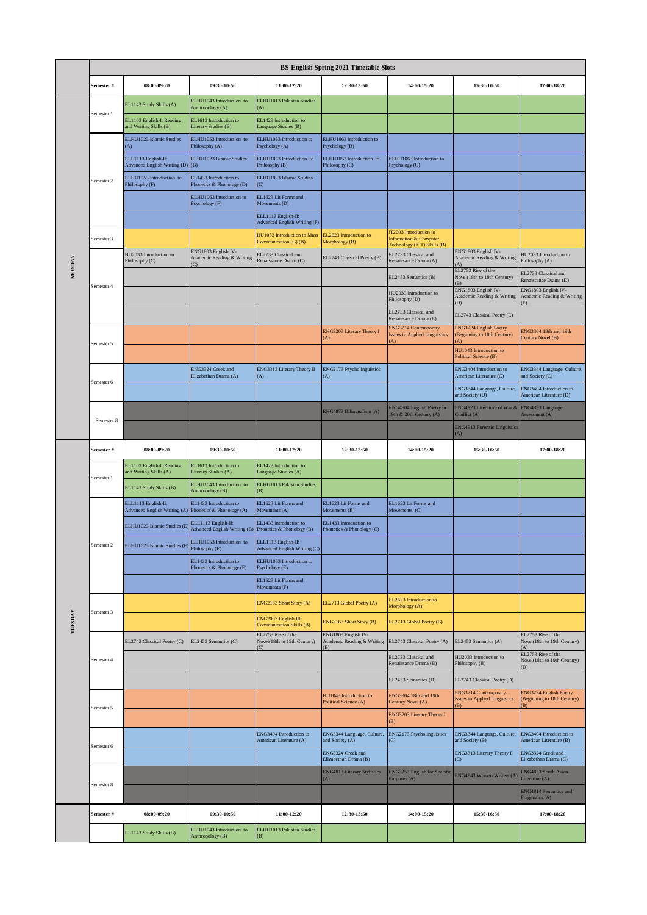|               | <b>BS-English Spring 2021 Timetable Slots</b> |                                                            |                                                         |                                                         |                                                         |                                                                                 |                                                                     |                                                            |  |  |
|---------------|-----------------------------------------------|------------------------------------------------------------|---------------------------------------------------------|---------------------------------------------------------|---------------------------------------------------------|---------------------------------------------------------------------------------|---------------------------------------------------------------------|------------------------------------------------------------|--|--|
|               | Semester #                                    | 08:00-09:20                                                | 09:30-10:50                                             | 11:00-12:20                                             | 12:30-13:50                                             | 14:00-15:20                                                                     | 15:30-16:50                                                         | 17:00-18:20                                                |  |  |
|               | Semester 1                                    | EL1143 Study Skills (A)                                    | ELHU1043 Introduction to<br>Anthropology (A)            | ELHU1013 Pakistan Studies<br>A)                         |                                                         |                                                                                 |                                                                     |                                                            |  |  |
|               |                                               | EL1103 English-I: Reading<br>and Writing Skills (B)        | EL1613 Introduction to<br>Literary Studies (B)          | EL1423 Introduction to<br>Language Studies (B)          |                                                         |                                                                                 |                                                                     |                                                            |  |  |
|               |                                               | ELHU1023 Islamic Studies<br>(A)                            | ELHU1053 Introduction to<br>Philosophy (A)              | ELHU1063 Introduction to<br>Psychology (A)              | ELHU1063 Introduction to<br>Psychology (B)              |                                                                                 |                                                                     |                                                            |  |  |
|               |                                               | ELL1113 English-II:<br><b>Advanced English Writing (D)</b> | ELHU1023 Islamic Studies<br>(B)                         | ELHU1053 Introduction to<br>Philosophy (B)              | ELHU1053 Introduction to<br>Philosophy (C)              | ELHU1063 Introduction to<br>Psychology (C)                                      |                                                                     |                                                            |  |  |
|               | Semester 2                                    | ELHU1053 Introduction to<br>Philosophy (F)                 | EL1433 Introduction to<br>Phonetics & Phonology (D)     | ELHU1023 Islamic Studies<br>(C)                         |                                                         |                                                                                 |                                                                     |                                                            |  |  |
|               |                                               |                                                            | ELHU1063 Introduction to<br>Psychology (F)              | EL1623 Lit Forms and<br>Movements (D)                   |                                                         |                                                                                 |                                                                     |                                                            |  |  |
|               |                                               |                                                            |                                                         | ELL1113 English-II:<br>Advanced English Writing (F)     |                                                         |                                                                                 |                                                                     |                                                            |  |  |
|               | Semester 3                                    |                                                            |                                                         | HU1053 Introduction to Mass<br>Communication (G) (B)    | EL2623 Introduction to<br>Morphology (B)                | IT2003 Introduction to<br>Information & Computer<br>Fechnology (ICT) Skills (B) |                                                                     |                                                            |  |  |
| <b>MONDAY</b> |                                               | HU2033 Introduction to<br>Philosophy (C)                   | ENG1803 English IV-<br>Academic Reading & Writing<br>C) | EL2733 Classical and<br>Renaissance Drama (C)           | EL2743 Classical Poetry (B)                             | EL2733 Classical and<br>Renaissance Drama (A)                                   | ENG1803 English IV-<br>Academic Reading & Writing<br>$\Lambda$      | HU2033 Introduction to<br>Philosophy (A)                   |  |  |
|               |                                               |                                                            |                                                         |                                                         |                                                         | EL2453 Semantics (B)                                                            | EL2753 Rise of the<br>Novel(18th to 19th Century)<br>(B)            | EL2733 Classical and<br>Renaissance Drama (D)              |  |  |
|               | Semester 4                                    |                                                            |                                                         |                                                         |                                                         | HU2033 Introduction to<br>Philosophy (D)                                        | ENG1803 English IV-<br>Academic Reading & Writing<br>(D)            | ENG1803 English IV-<br>Academic Reading & Writing<br>$E$ ) |  |  |
|               |                                               |                                                            |                                                         |                                                         |                                                         | EL2733 Classical and<br>Renaissance Drama (E)                                   | EL2743 Classical Poetry (E)                                         |                                                            |  |  |
|               |                                               |                                                            |                                                         |                                                         | ENG3203 Literary Theory I<br>(A)                        | <b>ENG3214 Contemporary</b><br><b>Issues in Applied Linguistics</b><br>A)       | <b>ENG3224 English Poetry</b><br>(Beginning to 18th Century)<br>A)  | ENG3304 18th and 19th<br>Century Novel (B)                 |  |  |
|               | Semester 5                                    |                                                            |                                                         |                                                         |                                                         |                                                                                 | HU1043 Introduction to<br>Political Science (B)                     |                                                            |  |  |
|               | Semester 6                                    |                                                            | ENG3324 Greek and<br>Elizabethan Drama (A)              | ENG3313 Literary Theory II<br>(A)                       | ENG2173 Psycholinguistics<br>(A)                        |                                                                                 | ENG3404 Introduction to<br>American Literature (C)                  | ENG3344 Language, Culture,<br>and Society (C)              |  |  |
|               |                                               |                                                            |                                                         |                                                         |                                                         |                                                                                 | ENG3344 Language, Culture,<br>and Society (D)                       | ENG3404 Introduction to<br>American Literature (D)         |  |  |
|               | Semester 8                                    |                                                            |                                                         |                                                         | ENG4873 Bilingualism (A)                                | <b>ENG4804 English Poetry in</b><br>19th & 20th Century (A)                     | ENG4823 Literature of War &<br>Conflict (A)                         | ENG4893 Language<br>Assessment (A)                         |  |  |
|               |                                               |                                                            |                                                         |                                                         |                                                         |                                                                                 | <b>ENG4913 Forensic Linguistics</b><br>A)                           |                                                            |  |  |
|               | Semester #                                    | $08:00 - 09:20$                                            | 09:30-10:50                                             | 11:00-12:20                                             | 12:30-13:50                                             | 14:00-15:20                                                                     | 15:30-16:50                                                         | 17:00-18:20                                                |  |  |
|               | Semester 1                                    | EL1103 English-I: Reading<br>and Writing Skills (A)        | EL1613 Introduction to<br>Literary Studies (A)          | EL1423 Introduction to<br>Language Studies (A)          |                                                         |                                                                                 |                                                                     |                                                            |  |  |
|               |                                               | EL1143 Study Skills (B)                                    | ELHU1043 Introduction to<br>Anthropology (B)            | ELHU1013 Pakistan Studies<br>(B)                        |                                                         |                                                                                 |                                                                     |                                                            |  |  |
|               |                                               | ELL1113 English-II:<br>Advanced English Writing (A)        | EL1433 Introduction to<br>Phonetics & Phonology (A)     | EL1623 Lit Forms and<br>Movements (A)                   | EL1623 Lit Forms and<br>Movements (B)                   | EL1623 Lit Forms and<br>Movements (C)                                           |                                                                     |                                                            |  |  |
|               |                                               | ELHU1023 Islamic Studies (E)                               | ELL1113 English-II:<br>Advanced English Writing (B)     | EL1433 Introduction to<br>Phonetics & Phonology (B)     | EL1433 Introduction to<br>Phonetics & Phonology (C)     |                                                                                 |                                                                     |                                                            |  |  |
|               | semester 2                                    | ELHU 1023 Islamic Studies (f                               | ELHU1053 Introduction to<br>Philosophy (E)              | ELL1113 English-II:<br>Advanced English Writing (C)     |                                                         |                                                                                 |                                                                     |                                                            |  |  |
|               |                                               |                                                            | EL1433 Introduction to<br>Phonetics & Phonology (F)     | ELHU1063 Introduction to<br>Psychology (E)              |                                                         |                                                                                 |                                                                     |                                                            |  |  |
|               |                                               |                                                            |                                                         | EL1623 Lit Forms and<br>Movements (F)                   |                                                         |                                                                                 |                                                                     |                                                            |  |  |
|               | Semester 3                                    |                                                            |                                                         | ENG2163 Short Story (A)                                 | EL2713 Global Poetry (A)                                | EL2623 Introduction to<br>Morphology (A)                                        |                                                                     |                                                            |  |  |
| TUESDAY       |                                               |                                                            |                                                         | ENG2003 English III:<br><b>Communication Skills (B)</b> | ENG2163 Short Story (B)                                 | EL2713 Global Poetry (B)                                                        |                                                                     |                                                            |  |  |
|               |                                               | EL2743 Classical Poetry (C)                                | EL2453 Semantics (C)                                    | EL2753 Rise of the<br>Novel(18th to 19th Century)       | ENG1803 English IV-<br>Academic Reading & Writing<br>B) | EL2743 Classical Poetry (A)                                                     | EL2453 Semantics (A)                                                | EL2753 Rise of the<br>Novel(18th to 19th Century)          |  |  |
|               | Semester 4                                    |                                                            |                                                         |                                                         |                                                         | EL2733 Classical and<br>Renaissance Drama (B)                                   | HU2033 Introduction to<br>Philosophy (B)                            | EL2753 Rise of the<br>Novel(18th to 19th Century)<br>(D)   |  |  |
|               |                                               |                                                            |                                                         |                                                         |                                                         | EL2453 Semantics (D)                                                            | EL2743 Classical Poetry (D)                                         |                                                            |  |  |
|               | Semester 5                                    |                                                            |                                                         |                                                         | HU1043 Introduction to<br>Political Science (A)         | ENG3304 18th and 19th<br>Century Novel (A)                                      | ENG3214 Contemporary<br><b>Issues in Applied Linguistics</b><br>(B) | ENG3224 English Poetry<br>Beginning to 18th Century)<br>B) |  |  |
|               |                                               |                                                            |                                                         |                                                         |                                                         | ENG3203 Literary Theory I<br>(B)                                                |                                                                     |                                                            |  |  |
|               | Semester 6                                    |                                                            |                                                         | ENG3404 Introduction to<br>American Literature (A)      | ENG3344 Language, Culture,<br>and Society (A)           | ENG2173 Psycholinguistics<br>(C)                                                | ENG3344 Language, Culture,<br>and Society (B)                       | <b>ENG3404</b> Introduction to<br>American Literature (B)  |  |  |
|               |                                               |                                                            |                                                         |                                                         | ENG3324 Greek and<br>Elizabethan Drama (B)              |                                                                                 | ENG3313 Literary Theory II<br>$\circ$                               | ENG3324 Greek and<br>Elizabethan Drama (C)                 |  |  |
|               | Semester 8                                    |                                                            |                                                         |                                                         | <b>ENG4813 Literary Stylistics</b><br>(A)               | ENG3253 English for Specific<br>Purposes (A)                                    | ENG4843 Women Writers (A)                                           | ENG4833 South Asian<br>Literature (A)                      |  |  |
|               |                                               |                                                            |                                                         |                                                         |                                                         |                                                                                 |                                                                     | <b>ENG4814 Semantics and</b><br>Pragmatics (A)             |  |  |
|               | Semester#                                     | 08:00-09:20                                                | 09:30-10:50                                             | 11:00-12:20                                             | 12:30-13:50                                             | 14:00-15:20                                                                     | 15:30-16:50                                                         | 17:00-18:20                                                |  |  |
|               |                                               | EL1143 Study Skills (B)                                    | ELHU1043 Introduction to<br>Anthropology (B)            | ELHU1013 Pakistan Studies<br>(B)                        |                                                         |                                                                                 |                                                                     |                                                            |  |  |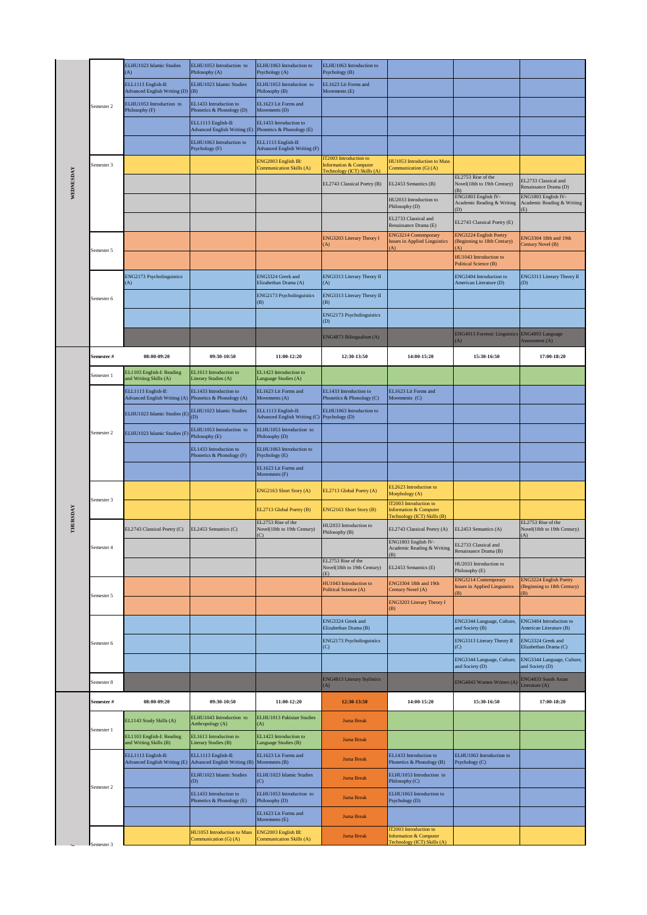|           |            | ELHU1023 Islamic Studies<br>(A)                            | ELHU1053 Introduction to<br>Philosophy (A)                                       | ELHU1063 Introduction to<br>Psychology (A)                 | ELHU1063 Introduction to<br>Psychology (B)                 |                                                                                            |                                                                            |                                                              |
|-----------|------------|------------------------------------------------------------|----------------------------------------------------------------------------------|------------------------------------------------------------|------------------------------------------------------------|--------------------------------------------------------------------------------------------|----------------------------------------------------------------------------|--------------------------------------------------------------|
|           |            | ELL1113 English-II:<br>Advanced English Writing (D) (B)    | ELHU1023 Islamic Studies                                                         | ELHU1053 Introduction to<br>Philosophy (B)                 | EL1623 Lit Forms and<br>Movements (E)                      |                                                                                            |                                                                            |                                                              |
|           | Semester 2 | ELHU1053 Introduction to<br>Philosophy (F)                 | EL1433 Introduction to<br>Phonetics & Phonology (D)                              | EL1623 Lit Forms and<br>Movements (D)                      |                                                            |                                                                                            |                                                                            |                                                              |
|           |            |                                                            | ELL1113 English-II:<br>Advanced English Writing (E)                              | EL1433 Introduction to<br>Phonetics & Phonology (E)        |                                                            |                                                                                            |                                                                            |                                                              |
|           |            |                                                            | ELHU1063 Introduction to<br>Psychology (F)                                       | ELL1113 English-II:<br><b>Advanced English Writing (F)</b> |                                                            |                                                                                            |                                                                            |                                                              |
|           | Semester 3 |                                                            |                                                                                  | NG2003 English III:<br>Communication Skills (A)            | <b>IT2003</b> Introduction to<br>Information & Computer    | HU1053 Introduction to Mass<br>Communication (G) (A)                                       |                                                                            |                                                              |
| WEDNESDAY |            |                                                            |                                                                                  |                                                            | Technology (ICT) Skills (A)<br>EL2743 Classical Poetry (B) | EL2453 Semantics (B)                                                                       | EL2753 Rise of the<br>Novel(18th to 19th Century)                          | EL2733 Classical and<br>Renaissance Drama (D)                |
|           |            |                                                            |                                                                                  |                                                            |                                                            | HU2033 Introduction to<br>Philosophy (D)                                                   | B)<br>ENG1803 English IV-<br>Academic Reading & Writing<br>(D)             | ENG1803 English IV-<br>Academic Reading & Writing            |
|           |            |                                                            |                                                                                  |                                                            |                                                            | EL2733 Classical and<br>Renaissance Drama (E)                                              | EL2743 Classical Poetry (E)                                                | (E)                                                          |
|           |            |                                                            |                                                                                  |                                                            | ENG3203 Literary Theory I<br>(A)                           | <b>ENG3214 Contemporary</b><br><b>Issues in Applied Linguistics</b><br>A)                  | <b>ENG3224 English Poetry</b><br>Beginning to 18th Century)<br>A)          | ENG3304 18th and 19th<br>Century Novel (B)                   |
|           | Semester 5 |                                                            |                                                                                  |                                                            |                                                            |                                                                                            | HU1043 Introduction to<br>Political Science (B)                            |                                                              |
|           |            | ENG2173 Psycholinguistics<br>$\bf{A}$                      |                                                                                  | ENG3324 Greek and<br>Elizabethan Drama (A)                 | ENG3313 Literary Theory II<br>(A)                          |                                                                                            | ENG3404 Introduction to<br>American Literature (D)                         | ENG3313 Literary Theory II<br>(D)                            |
|           | Semester 6 |                                                            |                                                                                  | ENG2173 Psycholinguistics<br>(B)                           | ENG3313 Literary Theory II<br>(B)                          |                                                                                            |                                                                            |                                                              |
|           |            |                                                            |                                                                                  |                                                            | ENG2173 Psycholinguistics<br>(D)                           |                                                                                            |                                                                            |                                                              |
|           |            |                                                            |                                                                                  |                                                            | ENG4873 Bilingualism (A)                                   |                                                                                            | ENG4913 Forensic Linguistics ENG4893 Language<br>A)                        | Assessment (A)                                               |
|           | Semester # | 08:00-09:20                                                | 09:30-10:50                                                                      | 11:00-12:20                                                | 12:30-13:50                                                | 14:00-15:20                                                                                | 15:30-16:50                                                                | 17:00-18:20                                                  |
|           | Semester 1 | EL1103 English-I: Reading<br>and Writing Skills (A)        | EL1613 Introduction to<br>Literary Studies (A)                                   | EL1423 Introduction to<br>Language Studies (A)             |                                                            |                                                                                            |                                                                            |                                                              |
|           |            | ELL1113 English-II:<br><b>Advanced English Writing (A)</b> | EL1433 Introduction to<br>Phonetics & Phonology (A)                              | EL1623 Lit Forms and<br>Movements (A)                      | EL1433 Introduction to<br>Phonetics & Phonology (C)        | EL1623 Lit Forms and<br>Movements (C)                                                      |                                                                            |                                                              |
|           |            | ELHU1023 Islamic Studies (E)                               | ELHU1023 Islamic Studies<br>(D)                                                  | ELL1113 English-II:<br><b>Advanced English Writing (C)</b> | ELHU1063 Introduction to<br>Psychology (D)                 |                                                                                            |                                                                            |                                                              |
|           | Semester 2 | ELHU1023 Islamic Studies (F                                | ELHU1053 Introduction to<br>Philosophy (E)                                       | ELHU1053 Introduction to<br>Philosophy (D)                 |                                                            |                                                                                            |                                                                            |                                                              |
|           |            |                                                            | EL1433 Introduction to<br>Phonetics & Phonology (F)                              | ELHU1063 Introduction to<br>Psychology (E)                 |                                                            |                                                                                            |                                                                            |                                                              |
|           |            |                                                            |                                                                                  | EL1623 Lit Forms and<br>Movements (F)                      |                                                            |                                                                                            |                                                                            |                                                              |
|           |            |                                                            |                                                                                  | ENG2163 Short Story (A)                                    | EL2713 Global Poetry (A)                                   | EL2623 Introduction to<br>Morphology (A)                                                   |                                                                            |                                                              |
|           | Semester 3 |                                                            |                                                                                  | EL2713 Global Poetry (B)                                   | ENG2163 Short Story (B)                                    | IT2003 Introduction to<br><b>Information &amp; Computer</b><br>Technology (ICT) Skills (B) |                                                                            |                                                              |
| THURSDAY  |            | EL2743 Classical Poetry (C)                                | EL2453 Semantics (C)                                                             | EL2753 Rise of the<br>Novel(18th to 19th Century)<br>(C)   | HU2033 Introduction to<br>Philosophy (B)                   | EL2743 Classical Poetry (A)                                                                | EL2453 Semantics (A)                                                       | EL2753 Rise of the<br>Novel(18th to 19th Century)<br>(A)     |
|           | Semester 4 |                                                            |                                                                                  |                                                            |                                                            | ENG1803 English IV-<br>Academic Reading & Writing<br>(B)                                   | EL2733 Classical and<br>Renaissance Drama (B)                              |                                                              |
|           |            |                                                            |                                                                                  |                                                            | EL2753 Rise of the<br>Novel(18th to 19th Century)<br>(E)   | EL2453 Semantics (E)                                                                       | HU2033 Introduction to<br>Philosophy (E)                                   |                                                              |
|           |            |                                                            |                                                                                  |                                                            | HU1043 Introduction to<br>Political Science (A)            | ENG3304 18th and 19th<br>Century Novel (A)                                                 | <b>ENG3214 Contemporary</b><br><b>Issues in Applied Linguistics</b><br>(B) | ENG3224 English Poetry<br>(Beginning to 18th Century)<br>(B) |
|           | Semester 5 |                                                            |                                                                                  |                                                            |                                                            | ENG3203 Literary Theory I<br>(B)                                                           |                                                                            |                                                              |
|           |            |                                                            |                                                                                  |                                                            | ENG3324 Greek and<br>Elizabethan Drama (B)                 |                                                                                            | ENG3344 Language, Culture,<br>and Society (B)                              | ENG3404 Introduction to<br>American Literature (B)           |
|           | Semester 6 |                                                            |                                                                                  |                                                            | ENG2173 Psycholinguistics<br>(C)                           |                                                                                            | ENG3313 Literary Theory II<br>(C)                                          | ENG3324 Greek and<br>Elizabethan Drama (C)                   |
|           |            |                                                            |                                                                                  |                                                            |                                                            |                                                                                            | ENG3344 Language, Culture,<br>and Society (D)                              | ENG3344 Language, Culture,<br>and Society (D)                |
|           | Semester 8 |                                                            |                                                                                  |                                                            | ENG4813 Literary Stylistics<br>(A)                         |                                                                                            | ENG4843 Women Writers (A)                                                  | <b>ENG4833 South Asian</b><br>Literature (A)                 |
|           | Semester # | 08:00-09:20                                                | 09:30-10:50                                                                      | 11:00-12:20                                                | 12:30-13:50                                                | 14:00-15:20                                                                                | 15:30-16:50                                                                | 17:00-18:20                                                  |
|           |            | EL1143 Study Skills (A)                                    | ELHU1043 Introduction to<br>Anthropology (A)                                     | ELHU1013 Pakistan Studies<br>(A)                           | <b>Juma Break</b>                                          |                                                                                            |                                                                            |                                                              |
|           | Semester 1 | EL1103 English-I: Reading<br>and Writing Skills (B)        | EL1613 Introduction to<br>Literary Studies (B)                                   | EL1423 Introduction to<br>Language Studies (B)             | <b>Juma Break</b>                                          |                                                                                            |                                                                            |                                                              |
|           |            | ELL1113 English-II:                                        | ELL1113 English-II:<br>Advanced English Writing (E) Advanced English Writing (B) | EL1623 Lit Forms and<br>Movements (B)                      | <b>Juma Break</b>                                          | EL1433 Introduction to<br>Phonetics & Phonology (B)                                        | ELHU1063 Introduction to<br>Psychology (C)                                 |                                                              |
|           | Semester 2 |                                                            | ELHU1023 Islamic Studies<br>(D)                                                  | ELHU1023 Islamic Studies<br>Õ                              | <b>Juma Break</b>                                          | ELHU1053 Introduction to<br>Philosophy (C)                                                 |                                                                            |                                                              |
|           |            |                                                            | EL1433 Introduction to<br>Phonetics & Phonology (E)                              | ELHU1053 Introduction to<br>Philosophy (D)                 | <b>Juma Break</b>                                          | ELHU1063 Introduction to<br>Psychology (D)                                                 |                                                                            |                                                              |
|           |            |                                                            |                                                                                  | EL1623 Lit Forms and<br>Movements (E)                      | <b>Juma Break</b>                                          |                                                                                            |                                                                            |                                                              |
|           | Semester 3 |                                                            | HU1053 Introduction to Mass<br>Communication (G) (A)                             | ENG2003 English III:<br>Communication Skills (A)           | <b>Juma Break</b>                                          | IT2003 Introduction to<br>Information & Computer<br>Technology (ICT) Skills (A)            |                                                                            |                                                              |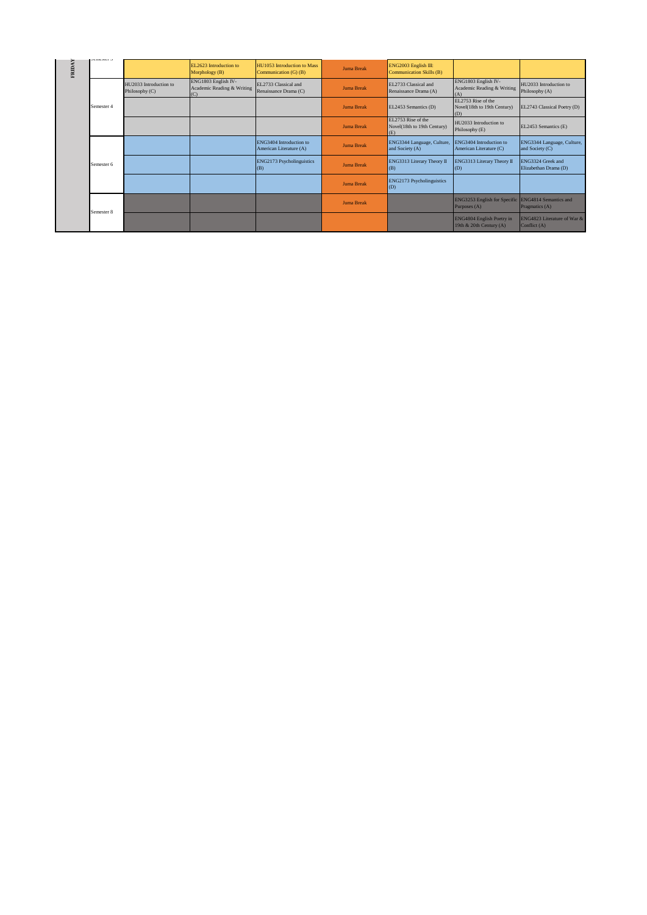|               | ocanona o  |                                          |                                                   |                                                      |                   |                                                          |                                                                    |                                               |
|---------------|------------|------------------------------------------|---------------------------------------------------|------------------------------------------------------|-------------------|----------------------------------------------------------|--------------------------------------------------------------------|-----------------------------------------------|
| <b>FRIDAY</b> |            |                                          | EL2623 Introduction to<br>Morphology (B)          | HU1053 Introduction to Mass<br>Communication (G) (B) | <b>Juma Break</b> | ENG2003 English III:<br><b>Communication Skills (B)</b>  |                                                                    |                                               |
|               |            | HU2033 Introduction to<br>Philosophy (C) | ENG1803 English IV-<br>Academic Reading & Writing | EL2733 Classical and<br>Renaissance Drama (C)        | <b>Juma Break</b> | EL2733 Classical and<br>Renaissance Drama (A)            | ENG1803 English IV-<br>Academic Reading & Writing<br>(A)           | HU2033 Introduction to<br>Philosophy (A)      |
|               | Semester 4 |                                          |                                                   |                                                      | <b>Juma Break</b> | EL2453 Semantics (D)                                     | EL2753 Rise of the<br>Novel(18th to 19th Century)<br>(D)           | EL2743 Classical Poetry (D)                   |
|               |            |                                          |                                                   |                                                      | <b>Juma Break</b> | EL2753 Rise of the<br>Novel(18th to 19th Century)<br>(E) | HU2033 Introduction to<br>Philosophy (E)                           | EL2453 Semantics (E)                          |
|               | Semester 6 |                                          |                                                   | ENG3404 Introduction to<br>American Literature (A)   | <b>Juma Break</b> | ENG3344 Language, Culture,<br>and Society (A)            | ENG3404 Introduction to<br>American Literature (C)                 | ENG3344 Language, Culture,<br>and Society (C) |
|               |            |                                          |                                                   | ENG2173 Psycholinguistics<br>(B)                     | <b>Juma Break</b> | ENG3313 Literary Theory II<br>(B)                        | ENG3313 Literary Theory II<br>(D)                                  | ENG3324 Greek and<br>Elizabethan Drama (D)    |
|               |            |                                          |                                                   |                                                      | <b>Juma Break</b> | ENG2173 Psycholinguistics<br>(D)                         |                                                                    |                                               |
|               |            |                                          |                                                   |                                                      | <b>Juma Break</b> |                                                          | ENG3253 English for Specific ENG4814 Semantics and<br>Purposes (A) | Pragmatics (A)                                |
|               | Semester 8 |                                          |                                                   |                                                      |                   |                                                          | ENG4804 English Poetry in<br>19th & 20th Century (A)               | ENG4823 Literature of War &<br>Conflict (A)   |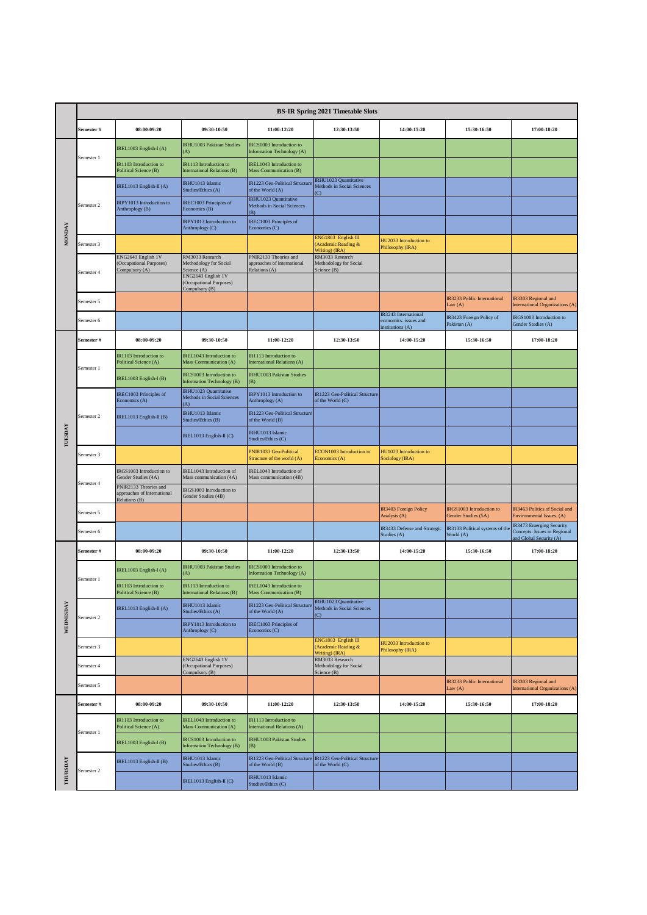|               |            |                                                                       |                                                                                        |                                                                       | <b>BS-IR Spring 2021 Timetable Slots</b>                                          |                                                                  |                                                       |                                                                                                                                                                                |
|---------------|------------|-----------------------------------------------------------------------|----------------------------------------------------------------------------------------|-----------------------------------------------------------------------|-----------------------------------------------------------------------------------|------------------------------------------------------------------|-------------------------------------------------------|--------------------------------------------------------------------------------------------------------------------------------------------------------------------------------|
|               | Semester # | 08:00-09:20                                                           | 09:30-10:50                                                                            | 11:00-12:20                                                           | 12:30-13:50                                                                       | 14:00-15:20                                                      | 15:30-16:50                                           | 17:00-18:20                                                                                                                                                                    |
|               |            | IREL1003 English-I(A)                                                 | IRHU1003 Pakistan Studies<br>(A)                                                       | IRCS1003 Introduction to<br>Information Technology (A)                |                                                                                   |                                                                  |                                                       |                                                                                                                                                                                |
|               | Semester 1 | IR1103 Introduction to<br>Political Science (B)                       | IR1113 Introduction to<br>International Relations (B)                                  | IREL1043 Introduction to<br>Mass Communication (B)                    |                                                                                   |                                                                  |                                                       |                                                                                                                                                                                |
|               |            | IREL1013 English-II (A)                                               | <b>IRHU1013 Islamic</b><br>Studies/Ethics (A)                                          | IR1223 Geo-Political Structure<br>of the World (A)                    | <b>RHU1023 Quantitative</b><br>Methods in Social Sciences<br>$\overline{C}$       |                                                                  |                                                       |                                                                                                                                                                                |
|               | Semester 2 | IRPY1013 Introduction to<br>Anthroplogy (B)                           | IREC1003 Principles of<br>Economics (B)                                                | IRHU1023 Quantitative<br>Methods in Social Sciences<br>(B)            |                                                                                   |                                                                  |                                                       |                                                                                                                                                                                |
| <b>MONDAY</b> |            |                                                                       | IRPY1013 Introduction to<br>Anthroplogy (C)                                            | <b>IREC1003 Principles of</b><br>Economics (C)                        |                                                                                   |                                                                  |                                                       |                                                                                                                                                                                |
|               | Semester 3 |                                                                       |                                                                                        |                                                                       | ENG1803 English III<br>(Academic Reading &<br>Writing) (IRA)                      | HU2033 Introduction to<br>Philosophy (IRA)                       |                                                       |                                                                                                                                                                                |
|               | Semester 4 | ENG2643 English 1V<br>(Occupational Purposes)<br>Compulsory (A)       | RM3033 Research<br>Methodology for Social<br>Science (A)<br>ENG2643 English 1V         | PNIR2133 Theories and<br>approaches of International<br>Relations (A) | RM3033 Research<br>Methodology for Social<br>Science (B)                          |                                                                  |                                                       |                                                                                                                                                                                |
|               |            |                                                                       | (Occupational Purposes)<br>Compulsory (B)                                              |                                                                       |                                                                                   |                                                                  |                                                       |                                                                                                                                                                                |
|               | Semester 5 |                                                                       |                                                                                        |                                                                       |                                                                                   |                                                                  | IR3233 Public International<br>Law $(A)$              | <b>International Organizations (A)</b>                                                                                                                                         |
|               | Semester 6 |                                                                       |                                                                                        |                                                                       |                                                                                   | IR3243 International<br>economics: issues and<br>nstitutions (A) | IR3423 Foreign Policy of<br>Pakistan (A)              | IRGS1003 Introduction to<br>Gender Studies (A)                                                                                                                                 |
|               | Semester # | 08:00-09:20                                                           | 09:30-10:50                                                                            | 11:00-12:20                                                           | 12:30-13:50                                                                       | 14:00-15:20                                                      | 15:30-16:50                                           | 17:00-18:20                                                                                                                                                                    |
|               | Semester 1 | <b>R1103</b> Introduction to<br>Political Science (A)                 | IREL1043 Introduction to<br>Mass Communication (A)                                     | IR1113 Introduction to<br>International Relations (A)                 |                                                                                   |                                                                  |                                                       |                                                                                                                                                                                |
|               |            | IREL1003 English-I (B)                                                | IRCS1003 Introduction to<br><b>Information Technology (B)</b><br>IRHU1023 Quantitative | <b>IRHU1003 Pakistan Studies</b><br>(B)                               |                                                                                   |                                                                  |                                                       |                                                                                                                                                                                |
|               |            | <b>IREC1003 Principles of</b><br>Economics (A)                        | Methods in Social Sciences<br>$\Lambda$                                                | IRPY1013 Introduction to<br>Anthroplogy (A)                           | IR1223 Geo-Political Structure<br>of the World (C)                                |                                                                  |                                                       | IR3303 Regional and<br><b>R3463 Politics of Social and</b><br>Environmental Issues. (A)<br>IR3473 Emerging Security<br>Concepts: Issues in Regional<br>and Global Security (A) |
|               | Semester 2 | IREL1013 English-II (B)                                               | IRHU1013 Islamic<br>Studies/Ethics (B)                                                 | IR1223 Geo-Political Structure<br>of the World (B)                    |                                                                                   |                                                                  |                                                       |                                                                                                                                                                                |
| TUESDAY       |            |                                                                       | IREL1013 English-II (C)                                                                | IRHU1013 Islamic<br>Studies/Ethics (C)                                |                                                                                   |                                                                  |                                                       |                                                                                                                                                                                |
|               | Semester 3 |                                                                       |                                                                                        | PNIR1033 Geo-Political<br>Structure of the world (A)                  | ECON1003 Introduction to<br>Economics (A)                                         | HU1023 Introduction to<br>Sociology (IRA)                        |                                                       |                                                                                                                                                                                |
|               | Semester 4 | <b>IRGS1003</b> Introduction to<br>Gender Studies (4A)                | IREL1043 Introduction of<br>Mass communication (4A)                                    | IREL1043 Introduction of<br>Mass communication (4B)                   |                                                                                   |                                                                  |                                                       |                                                                                                                                                                                |
|               |            | PNIR2133 Theories and<br>approaches of International<br>Relations (B) | IRGS1003 Introduction to<br>Gender Studies (4B)                                        |                                                                       |                                                                                   |                                                                  |                                                       |                                                                                                                                                                                |
|               | Semester 5 |                                                                       |                                                                                        |                                                                       |                                                                                   | IR3403 Foreign Policy<br>Analysis (A)                            | <b>RGS1003</b> Introduction to<br>Gender Studies (5A) |                                                                                                                                                                                |
|               | Semester 6 |                                                                       |                                                                                        |                                                                       |                                                                                   | IR3433 Defense and Strategic<br>Studies (A)                      | IR3133 Political systems of the<br>World (A)          |                                                                                                                                                                                |
|               | Semester # | 08:00-09:20                                                           | 09:30-10:50                                                                            | 11:00-12:20                                                           | 12:30-13:50                                                                       | 14:00-15:20                                                      | 15:30-16:50                                           | 17:00-18:20                                                                                                                                                                    |
|               | Semester 1 | IREL1003 English-I(A)                                                 | IRHU1003 Pakistan Studies<br>(A)                                                       | IRCS1003 Introduction to<br>Information Technology (A)                |                                                                                   |                                                                  |                                                       |                                                                                                                                                                                |
|               |            | R1103 Introduction to<br>Political Science (B)                        | IR1113 Introduction to<br><b>International Relations (B)</b>                           | <b>IDEL 1043 Introduct</b><br>Mass Communication (B)                  |                                                                                   |                                                                  |                                                       |                                                                                                                                                                                |
| WEDNESDAY     | Semester 2 | IREL1013 English-II (A)                                               | IRHU1013 Islamic<br>Studies/Ethics (A)                                                 | IR1223 Geo-Political Structure<br>of the World (A)                    | <b>IRHU1023 Quantitative</b><br>Methods in Social Sciences<br>(C)                 |                                                                  |                                                       |                                                                                                                                                                                |
|               |            |                                                                       | IRPY1013 Introduction to<br>Anthroplogy (C)                                            | IREC1003 Principles of<br>Economics (C)                               |                                                                                   |                                                                  |                                                       |                                                                                                                                                                                |
|               | Semester 3 |                                                                       |                                                                                        |                                                                       | ENG1803 English III<br>(Academic Reading &<br>Writing) (IRA)                      | HU2033 Introduction to<br>Philosophy (IRA)                       |                                                       |                                                                                                                                                                                |
|               | Semester 4 |                                                                       | ENG2643 English 1V<br>(Occupational Purposes)<br>Compulsory (B)                        |                                                                       | RM3033 Research<br>Methodology for Social<br>Science (B)                          |                                                                  |                                                       |                                                                                                                                                                                |
|               | Semester 5 |                                                                       |                                                                                        |                                                                       |                                                                                   |                                                                  | IR3233 Public International<br>Law $(A)$              | IR3303 Regional and<br><b>International Organizations (A)</b>                                                                                                                  |
|               | Semester # | 08:00-09:20                                                           | 09:30-10:50                                                                            | 11:00-12:20                                                           | 12:30-13:50                                                                       | 14:00-15:20                                                      | 15:30-16:50                                           | 17:00-18:20                                                                                                                                                                    |
|               | Semester 1 | IR1103 Introduction to<br>Political Science (A)                       | IREL1043 Introduction to<br>Mass Communication (A)                                     | IR1113 Introduction to<br><b>International Relations (A)</b>          |                                                                                   |                                                                  |                                                       |                                                                                                                                                                                |
|               |            | IREL1003 English-I (B)                                                | IRCS1003 Introduction to<br>Information Technology (B)                                 | IRHU1003 Pakistan Studies<br>(B)                                      |                                                                                   |                                                                  |                                                       |                                                                                                                                                                                |
|               | Semester 2 | IREL1013 English-II (B)                                               | IRHU1013 Islamic<br>Studies/Ethics (B)                                                 | of the World (B)                                                      | IR1223 Geo-Political Structure IR1223 Geo-Political Structure<br>of the World (C) |                                                                  |                                                       |                                                                                                                                                                                |
| THURSDAY      |            |                                                                       | IREL1013 English-II (C)                                                                | IRHU1013 Islamic<br>Studies/Ethics (C)                                |                                                                                   |                                                                  |                                                       |                                                                                                                                                                                |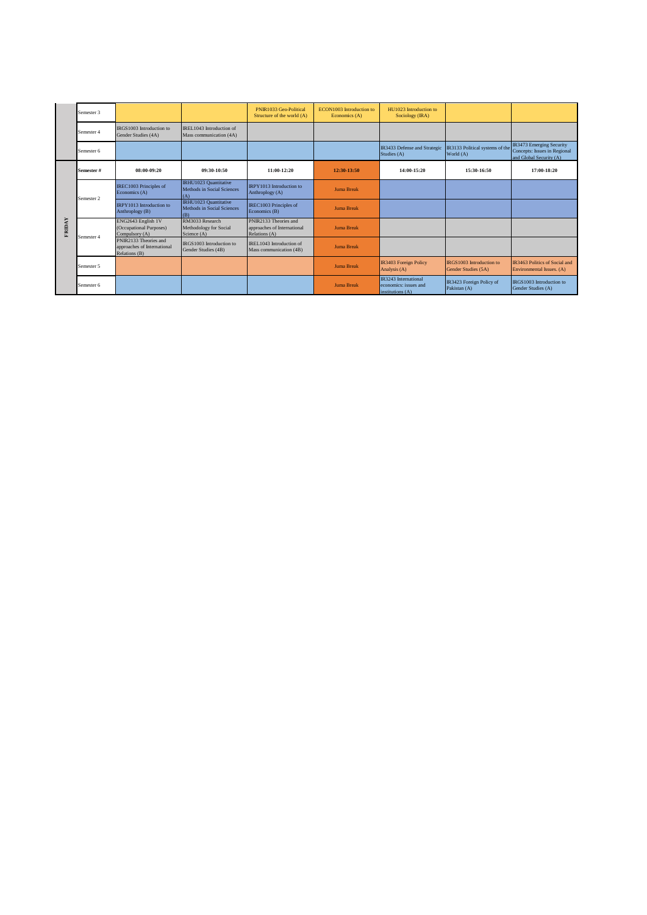|               | Semester 3 |                                                                       |                                                            | PNIR1033 Geo-Political<br>Structure of the world (A)                  | ECON1003 Introduction to<br>Economics (A) | HU1023 Introduction to<br>Sociology (IRA)                                |                                                 |                                                                                     |
|---------------|------------|-----------------------------------------------------------------------|------------------------------------------------------------|-----------------------------------------------------------------------|-------------------------------------------|--------------------------------------------------------------------------|-------------------------------------------------|-------------------------------------------------------------------------------------|
|               | Semester 4 | IRGS1003 Introduction to<br>Gender Studies (4A)                       | IREL1043 Introduction of<br>Mass communication (4A)        |                                                                       |                                           |                                                                          |                                                 |                                                                                     |
|               | Semester 6 |                                                                       |                                                            |                                                                       |                                           | IR3433 Defense and Strategic<br>Studies (A)                              | IR3133 Political systems of the<br>World (A)    | IR3473 Emerging Security<br>Concepts: Issues in Regional<br>and Global Security (A) |
|               | Semester#  | 08:00-09:20                                                           | 09:30-10:50                                                | 11:00-12:20                                                           | 12:30-13:50                               | 14:00-15:20                                                              | 15:30-16:50                                     | 17:00-18:20                                                                         |
|               | Semester 2 | IREC1003 Principles of<br>Economics (A)                               | IRHU1023 Quantitative<br>Methods in Social Sciences<br>(A) | <b>IRPY1013</b> Introduction to<br>Anthroplogy (A)                    | <b>Juma Break</b>                         |                                                                          |                                                 |                                                                                     |
|               |            | <b>IRPY1013</b> Introduction to<br>Anthroplogy (B)                    | IRHU1023 Quantitative<br>Methods in Social Sciences<br>(B) | IREC1003 Principles of<br>Economics (B)                               | <b>Juma Break</b>                         |                                                                          |                                                 |                                                                                     |
| <b>FRIDAY</b> | Semester 4 | ENG2643 English 1V<br>(Occupational Purposes)<br>Compulsory (A)       | RM3033 Research<br>Methodology for Social<br>Science (A)   | PNIR2133 Theories and<br>approaches of International<br>Relations (A) | <b>Juma Break</b>                         |                                                                          |                                                 |                                                                                     |
|               |            | PNIR2133 Theories and<br>approaches of International<br>Relations (B) | IRGS1003 Introduction to<br>Gender Studies (4B)            | IREL1043 Introduction of<br>Mass communication (4B)                   | <b>Juma Break</b>                         |                                                                          |                                                 |                                                                                     |
|               | Semester 5 |                                                                       |                                                            |                                                                       | <b>Juma Break</b>                         | IR3403 Foreign Policy<br>Analysis (A)                                    | IRGS1003 Introduction to<br>Gender Studies (5A) | <b>IR3463 Politics of Social and</b><br>Environmental Issues. (A)                   |
|               | Semester 6 |                                                                       |                                                            |                                                                       | <b>Juma Break</b>                         | <b>IR3243</b> International<br>economics: issues and<br>institutions (A) | IR3423 Foreign Policy of<br>Pakistan (A)        | IRGS1003 Introduction to<br>Gender Studies (A)                                      |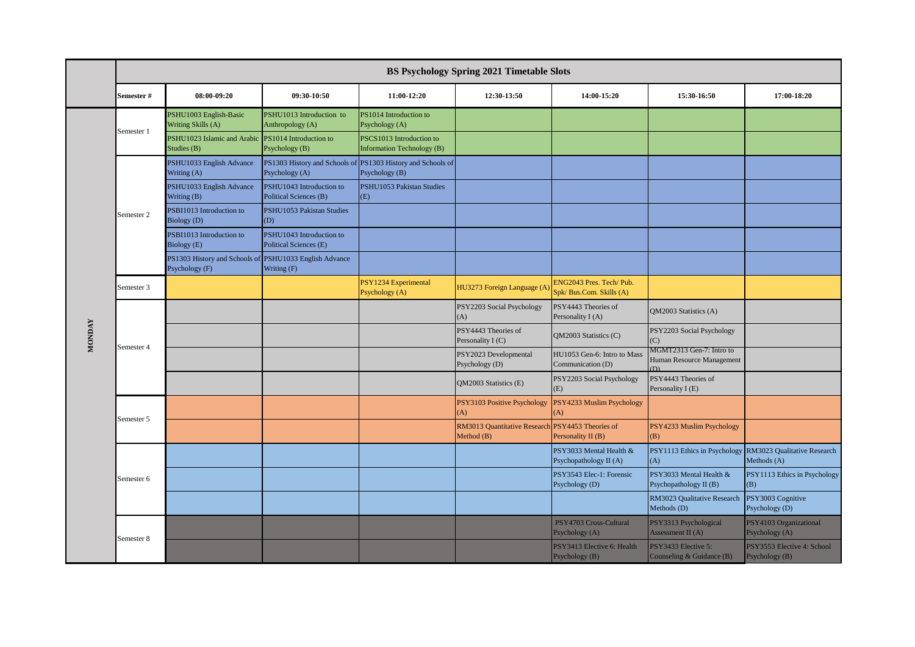|               |            |                                                                          |                                                                               |                                                               | <b>BS Psychology Spring 2021 Timetable Slots</b> |                                                    |                                                                 |                                              |
|---------------|------------|--------------------------------------------------------------------------|-------------------------------------------------------------------------------|---------------------------------------------------------------|--------------------------------------------------|----------------------------------------------------|-----------------------------------------------------------------|----------------------------------------------|
|               | Semester # | 08:00-09:20                                                              | 09:30-10:50                                                                   | 11:00-12:20                                                   | 12:30-13:50                                      | 14:00-15:20                                        | 15:30-16:50                                                     | 17:00-18:20                                  |
|               | Semester 1 | PSHU1003 English-Basic<br>Writing Skills (A)                             | PSHU1013 Introduction to<br>Anthropology (A)                                  | PS1014 Introduction to<br>Psychology (A)                      |                                                  |                                                    |                                                                 |                                              |
|               |            | PSHU1023 Islamic and Arabic<br>Studies (B)                               | PS1014 Introduction to<br>Psychology (B)                                      | PSCS1013 Introduction to<br><b>Information Technology (B)</b> |                                                  |                                                    |                                                                 |                                              |
|               |            | PSHU1033 English Advance<br>Writing (A)                                  | PS1303 History and Schools of PS1303 History and Schools of<br>Psychology (A) | Psychology (B)                                                |                                                  |                                                    |                                                                 |                                              |
|               | Semester 2 | PSHU1033 English Advance<br>Writing (B)                                  | PSHU1043 Introduction to<br>Political Sciences (B)                            | PSHU1053 Pakistan Studies<br>(E)                              |                                                  |                                                    |                                                                 |                                              |
|               |            | PSBI1013 Introduction to<br>Biology <sub>(D)</sub>                       | PSHU1053 Pakistan Studies<br>(D)                                              |                                                               |                                                  |                                                    |                                                                 |                                              |
|               |            | PSBI1013 Introduction to<br>Biology (E)                                  | PSHU1043 Introduction to<br>Political Sciences (E)                            |                                                               |                                                  |                                                    |                                                                 |                                              |
|               |            | PS1303 History and Schools of PSHU1033 English Advance<br>Psychology (F) | Writing (F)                                                                   |                                                               |                                                  |                                                    |                                                                 |                                              |
|               | Semester 3 |                                                                          |                                                                               | PSY1234 Experimental<br>Psychology (A)                        | HU3273 Foreign Language (A                       | ENG2043 Pres. Tech/Pub.<br>Spk/Bus.Com. Skills (A) |                                                                 |                                              |
|               | Semester 4 |                                                                          |                                                                               |                                                               | PSY2203 Social Psychology<br>(A)                 | PSY4443 Theories of<br>Personality I (A)           | QM2003 Statistics (A)                                           |                                              |
| <b>MONDAY</b> |            |                                                                          |                                                                               |                                                               | PSY4443 Theories of<br>Personality I (C)         | QM2003 Statistics (C)                              | PSY2203 Social Psychology<br>(C)                                |                                              |
|               |            |                                                                          |                                                                               |                                                               | PSY2023 Developmental<br>Psychology (D)          | HU1053 Gen-6: Intro to Mass<br>Communication (D)   | MGMT2313 Gen-7: Intro to<br>Human Resource Management<br>(C     |                                              |
|               |            |                                                                          |                                                                               |                                                               | QM2003 Statistics (E)                            | PSY2203 Social Psychology<br>(E)                   | PSY4443 Theories of<br>Personality I (E)                        |                                              |
|               | Semester 5 |                                                                          |                                                                               |                                                               | PSY3103 Positive Psychology<br>(A)               | PSY4233 Muslim Psychology<br>(A)                   |                                                                 |                                              |
|               |            |                                                                          |                                                                               |                                                               | RM3013 Quantitative Research<br>Method (B)       | PSY4453 Theories of<br>Personality II (B)          | PSY4233 Muslim Psychology<br>(B)                                |                                              |
|               |            |                                                                          |                                                                               |                                                               |                                                  | PSY3033 Mental Health &<br>Psychopathology II (A)  | PSY1113 Ethics in Psychology RM3023 Qualitative Research<br>(A) | Methods (A)                                  |
|               | Semester 6 |                                                                          |                                                                               |                                                               |                                                  | PSY3543 Elec-1: Forensic<br>Psychology (D)         | PSY3033 Mental Health &<br>Psychopathology II (B)               | PSY1113 Ethics in Psychology<br>(B)          |
|               |            |                                                                          |                                                                               |                                                               |                                                  |                                                    | RM3023 Qualitative Research<br>Methods (D)                      | PSY3003 Cognitive<br>Psychology (D)          |
|               |            |                                                                          |                                                                               |                                                               |                                                  | PSY4703 Cross-Cultural<br>Psychology (A)           | PSY3313 Psychological<br>Assessment II (A)                      | PSY4103 Organizational<br>Psychology (A)     |
|               | Semester 8 |                                                                          |                                                                               |                                                               |                                                  | PSY3413 Elective 6: Health<br>Psychology (B)       | PSY3433 Elective 5:<br>Counseling & Guidance (B)                | PSY3553 Elective 4: School<br>Psychology (B) |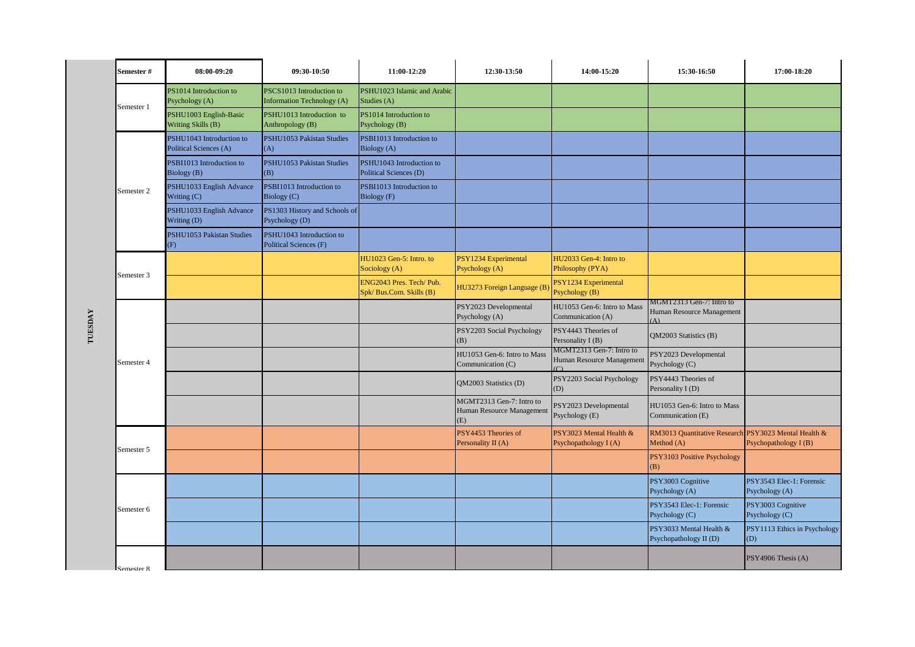|         | Semester#  | 08:00-09:20                                        | 09:30-10:50                                            | 11:00-12:20                                        | 12:30-13:50                                                  | 14:00-15:20                                                     | 15:30-16:50                                       | 17:00-18:20                                                                                                                                                             |
|---------|------------|----------------------------------------------------|--------------------------------------------------------|----------------------------------------------------|--------------------------------------------------------------|-----------------------------------------------------------------|---------------------------------------------------|-------------------------------------------------------------------------------------------------------------------------------------------------------------------------|
|         | Semester 1 | PS1014 Introduction to<br>Psychology (A)           | PSCS1013 Introduction to<br>Information Technology (A) | PSHU1023 Islamic and Arabic<br>Studies (A)         |                                                              |                                                                 |                                                   |                                                                                                                                                                         |
|         |            | PSHU1003 English-Basic<br>Writing Skills (B)       | PSHU1013 Introduction to<br>Anthropology (B)           | PS1014 Introduction to<br>Psychology (B)           |                                                              |                                                                 |                                                   |                                                                                                                                                                         |
|         |            | PSHU1043 Introduction to<br>Political Sciences (A) | PSHU1053 Pakistan Studies<br>(A)                       | PSBI1013 Introduction to<br>Biology (A)            |                                                              |                                                                 |                                                   |                                                                                                                                                                         |
|         |            | PSBI1013 Introduction to<br>Biology (B)            | PSHU1053 Pakistan Studies<br>(B)                       | PSHU1043 Introduction to<br>Political Sciences (D) |                                                              |                                                                 |                                                   | Psychopathology I (B)<br>PSY3543 Elec-1: Forensic<br>Psychology (A)<br>PSY3003 Cognitive<br>Psychology (C)<br>PSY1113 Ethics in Psychology<br>(D)<br>PSY4906 Thesis (A) |
|         | Semester 2 | PSHU1033 English Advance<br>Writing (C)            | PSBI1013 Introduction to<br>Biology (C)                | PSBI1013 Introduction to<br>Biology (F)            |                                                              |                                                                 |                                                   |                                                                                                                                                                         |
|         |            | PSHU1033 English Advance<br>Writing (D)            | PS1303 History and Schools of<br>Psychology (D)        |                                                    |                                                              |                                                                 |                                                   |                                                                                                                                                                         |
|         |            | PSHU1053 Pakistan Studies<br>(F)                   | PSHU1043 Introduction to<br>Political Sciences (F)     |                                                    |                                                              |                                                                 |                                                   | RM3013 Quantitative Research PSY3023 Mental Health &                                                                                                                    |
|         | Semester 3 |                                                    |                                                        | HU1023 Gen-5: Intro. to<br>Sociology (A)           | PSY1234 Experimental<br>Psychology (A)                       | HU2033 Gen-4: Intro to<br>Philosophy (PYA)                      |                                                   |                                                                                                                                                                         |
|         |            |                                                    |                                                        | ENG2043 Pres. Tech/Pub.<br>Spk/Bus.Com. Skills (B) | HU3273 Foreign Language (B)                                  | PSY1234 Experimental<br>Psychology (B)                          |                                                   |                                                                                                                                                                         |
|         |            |                                                    | PSY2023 Developmental<br>Psychology (A)                | HU1053 Gen-6: Intro to Mass<br>Communication (A)   | MGMT2313 Gen-7: Intro to<br>Human Resource Management<br>(A) |                                                                 |                                                   |                                                                                                                                                                         |
| TUESDAY |            |                                                    |                                                        |                                                    | PSY2203 Social Psychology<br>(B)                             | PSY4443 Theories of<br>Personality I (B)                        | QM2003 Statistics (B)                             |                                                                                                                                                                         |
|         | Semester 4 |                                                    |                                                        |                                                    | HU1053 Gen-6: Intro to Mass<br>Communication (C)             | MGMT2313 Gen-7: Intro to<br>Human Resource Management<br>$\cap$ | PSY2023 Developmental<br>Psychology (C)           |                                                                                                                                                                         |
|         |            |                                                    |                                                        |                                                    | QM2003 Statistics (D)                                        | PSY2203 Social Psychology<br>(D)                                | PSY4443 Theories of<br>Personality I (D)          |                                                                                                                                                                         |
|         |            |                                                    |                                                        |                                                    | MGMT2313 Gen-7: Intro to<br>Human Resource Management<br>(E) | PSY2023 Developmental<br>Psychology (E)                         | HU1053 Gen-6: Intro to Mass<br>Communication (E)  |                                                                                                                                                                         |
|         | Semester 5 |                                                    |                                                        |                                                    | PSY4453 Theories of<br>Personality II (A)                    | PSY3023 Mental Health &<br>Psychopathology I (A)                | Method (A)                                        |                                                                                                                                                                         |
|         |            |                                                    |                                                        |                                                    |                                                              |                                                                 | PSY3103 Positive Psychology<br>(B)                |                                                                                                                                                                         |
|         |            |                                                    |                                                        |                                                    |                                                              |                                                                 | PSY3003 Cognitive<br>Psychology (A)               |                                                                                                                                                                         |
|         | Semester 6 |                                                    |                                                        |                                                    |                                                              |                                                                 | PSY3543 Elec-1: Forensic<br>Psychology (C)        |                                                                                                                                                                         |
|         |            |                                                    |                                                        |                                                    |                                                              |                                                                 | PSY3033 Mental Health &<br>Psychopathology II (D) |                                                                                                                                                                         |
|         | Semester & |                                                    |                                                        |                                                    |                                                              |                                                                 |                                                   |                                                                                                                                                                         |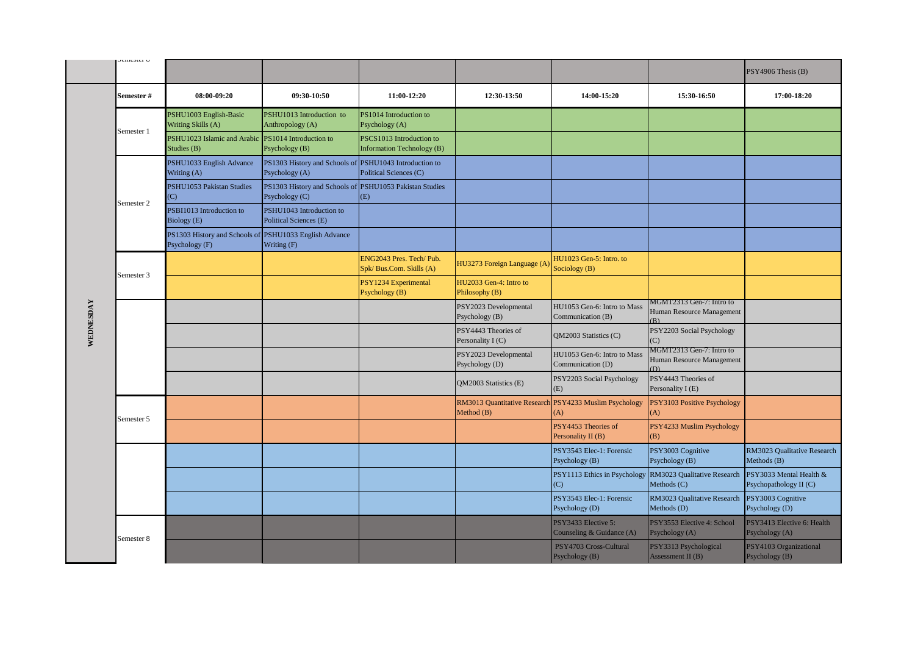|           | <b>UHRORI</b> C                                                           |                                                                          |                                                                           |                                                               |                                            |                                                                 |                                                              | PSY4906 Thesis (B)                                |
|-----------|---------------------------------------------------------------------------|--------------------------------------------------------------------------|---------------------------------------------------------------------------|---------------------------------------------------------------|--------------------------------------------|-----------------------------------------------------------------|--------------------------------------------------------------|---------------------------------------------------|
|           | Semester #                                                                | 08:00-09:20                                                              | 09:30-10:50                                                               | 11:00-12:20                                                   | 12:30-13:50                                | 14:00-15:20                                                     | 15:30-16:50                                                  | 17:00-18:20                                       |
|           |                                                                           | PSHU1003 English-Basic<br>Writing Skills (A)                             | PSHU1013 Introduction to<br>Anthropology (A)                              | PS1014 Introduction to<br>Psychology (A)                      |                                            |                                                                 |                                                              |                                                   |
|           |                                                                           | PSHU1023 Islamic and Arabic<br>Studies (B)                               | PS1014 Introduction to<br>Psychology (B)                                  | PSCS1013 Introduction to<br><b>Information Technology (B)</b> |                                            |                                                                 |                                                              |                                                   |
|           |                                                                           | PSHU1033 English Advance<br>Writing (A)                                  | PS1303 History and Schools of PSHU1043 Introduction to<br>Psychology (A)  | Political Sciences (C)                                        |                                            |                                                                 |                                                              |                                                   |
|           | Semester 1<br>(C)<br>Semester 2<br>Semester 3<br>Semester 5<br>Semester 8 | PSHU1053 Pakistan Studies                                                | PS1303 History and Schools of PSHU1053 Pakistan Studies<br>Psychology (C) | (E)                                                           |                                            |                                                                 |                                                              |                                                   |
|           |                                                                           | PSBI1013 Introduction to<br>Biology (E)                                  | PSHU1043 Introduction to<br>Political Sciences (E)                        |                                                               |                                            |                                                                 |                                                              |                                                   |
|           |                                                                           | PS1303 History and Schools of PSHU1033 English Advance<br>Psychology (F) | Writing (F)                                                               |                                                               |                                            |                                                                 |                                                              |                                                   |
|           |                                                                           |                                                                          |                                                                           | ENG2043 Pres. Tech/Pub.<br>Spk/Bus.Com. Skills (A)            | HU3273 Foreign Language (A                 | HU1023 Gen-5: Intro. to<br>Sociology (B)                        |                                                              |                                                   |
|           |                                                                           |                                                                          |                                                                           | PSY1234 Experimental<br>Psychology (B)                        | HU2033 Gen-4: Intro to<br>Philosophy (B)   |                                                                 |                                                              |                                                   |
| WEDNESDAY |                                                                           |                                                                          |                                                                           |                                                               | PSY2023 Developmental<br>Psychology (B)    | HU1053 Gen-6: Intro to Mass<br>Communication (B)                | MGMT2313 Gen-7: Intro to<br>Human Resource Management<br>(R) |                                                   |
|           |                                                                           |                                                                          |                                                                           |                                                               | PSY4443 Theories of<br>Personality I (C)   | QM2003 Statistics (C)                                           | PSY2203 Social Psychology<br>(C)                             |                                                   |
|           |                                                                           |                                                                          |                                                                           |                                                               | PSY2023 Developmental<br>Psychology (D)    | HU1053 Gen-6: Intro to Mass<br>Communication (D)                | MGMT2313 Gen-7: Intro to<br>Human Resource Management<br>(D) |                                                   |
|           |                                                                           |                                                                          |                                                                           |                                                               | <b>OM2003 Statistics (E)</b>               | PSY2203 Social Psychology<br>(E)                                | PSY4443 Theories of<br>Personality I (E)                     |                                                   |
|           |                                                                           |                                                                          |                                                                           |                                                               | RM3013 Quantitative Research<br>Method (B) | PSY4233 Muslim Psychology<br>(A)                                | PSY3103 Positive Psychology<br>(A)                           |                                                   |
|           |                                                                           |                                                                          |                                                                           |                                                               |                                            | PSY4453 Theories of<br>Personality II (B)                       | PSY4233 Muslim Psychology<br>(B)                             |                                                   |
|           |                                                                           |                                                                          |                                                                           |                                                               |                                            | PSY3543 Elec-1: Forensic<br>Psychology (B)                      | PSY3003 Cognitive<br>Psychology (B)                          | RM3023 Qualitative Research<br>Methods (B)        |
|           |                                                                           |                                                                          |                                                                           |                                                               |                                            | PSY1113 Ethics in Psychology RM3023 Qualitative Research<br>(C) | Methods (C)                                                  | PSY3033 Mental Health &<br>Psychopathology II (C) |
|           |                                                                           |                                                                          |                                                                           |                                                               |                                            | PSY3543 Elec-1: Forensic<br>Psychology (D)                      | RM3023 Qualitative Research<br>Methods (D)                   | PSY3003 Cognitive<br>Psychology (D)               |
|           |                                                                           |                                                                          |                                                                           |                                                               |                                            | PSY3433 Elective 5:<br>Counseling & Guidance (A)                | PSY3553 Elective 4: School<br>Psychology (A)                 | PSY3413 Elective 6: Health<br>Psychology (A)      |
|           |                                                                           |                                                                          |                                                                           |                                                               |                                            | PSY4703 Cross-Cultural<br>Psychology (B)                        | PSY3313 Psychological<br>Assessment II (B)                   | PSY4103 Organizational<br>Psychology (B)          |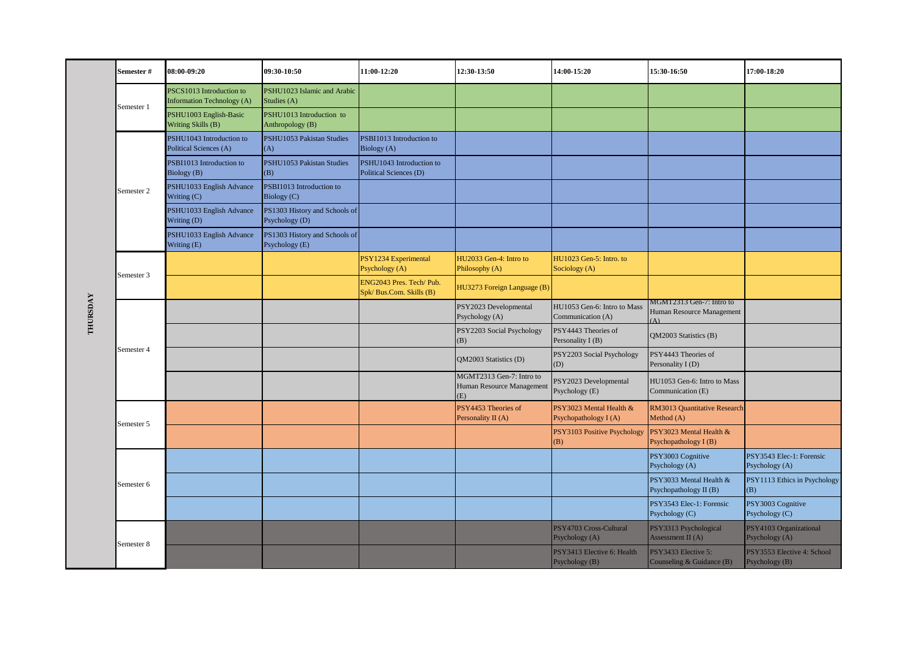|          | Semester#  | 08:00-09:20                                                   | 09:30-10:50                                     | 11:00-12:20                                          | 12:30-13:50                                                  | 14:00-15:20                                      | 15:30-16:50                                           | 17:00-18:20                                                                       |
|----------|------------|---------------------------------------------------------------|-------------------------------------------------|------------------------------------------------------|--------------------------------------------------------------|--------------------------------------------------|-------------------------------------------------------|-----------------------------------------------------------------------------------|
|          | Semester 1 | PSCS1013 Introduction to<br><b>Information Technology (A)</b> | PSHU1023 Islamic and Arabic<br>Studies (A)      |                                                      |                                                              |                                                  |                                                       |                                                                                   |
|          |            | PSHU1003 English-Basic<br>Writing Skills (B)                  | PSHU1013 Introduction to<br>Anthropology (B)    |                                                      |                                                              |                                                  |                                                       |                                                                                   |
|          |            | PSHU1043 Introduction to<br>Political Sciences (A)            | PSHU1053 Pakistan Studies<br>(A)                | PSBI1013 Introduction to<br>Biology (A)              |                                                              |                                                  |                                                       |                                                                                   |
|          |            | PSBI1013 Introduction to<br>Biology (B)                       | PSHU1053 Pakistan Studies<br>(B)                | PSHU1043 Introduction to<br>Political Sciences (D)   |                                                              |                                                  |                                                       |                                                                                   |
|          | Semester 2 | PSHU1033 English Advance<br>Writing (C)                       | PSBI1013 Introduction to<br>Biology (C)         |                                                      |                                                              |                                                  |                                                       |                                                                                   |
|          |            | PSHU1033 English Advance<br>Writing (D)                       | PS1303 History and Schools of<br>Psychology (D) |                                                      |                                                              |                                                  |                                                       | PSY3543 Elec-1: Forensic<br>Psychology (A)<br>PSY1113 Ethics in Psychology<br>(B) |
|          |            | PSHU1033 English Advance<br>Writing (E)                       | PS1303 History and Schools of<br>Psychology (E) |                                                      |                                                              |                                                  |                                                       |                                                                                   |
|          | Semester 3 |                                                               |                                                 | PSY1234 Experimental<br>Psychology (A)               | HU2033 Gen-4: Intro to<br>Philosophy (A)                     | HU1023 Gen-5: Intro. to<br>Sociology (A)         |                                                       |                                                                                   |
|          |            |                                                               |                                                 | ENG2043 Pres. Tech/ Pub.<br>Spk/ Bus.Com. Skills (B) | HU3273 Foreign Language (B)                                  |                                                  |                                                       |                                                                                   |
| THURSDAY |            |                                                               |                                                 |                                                      | PSY2023 Developmental<br>Psychology (A)                      | HU1053 Gen-6: Intro to Mass<br>Communication (A) | MGMT2313 Gen-7: Intro to<br>Human Resource Management |                                                                                   |
|          |            |                                                               |                                                 |                                                      | PSY2203 Social Psychology<br>(B)                             | PSY4443 Theories of<br>Personality I (B)         | QM2003 Statistics (B)                                 |                                                                                   |
|          | Semester 4 |                                                               |                                                 |                                                      | QM2003 Statistics (D)                                        | PSY2203 Social Psychology<br>(D)                 | PSY4443 Theories of<br>Personality I (D)              |                                                                                   |
|          |            |                                                               |                                                 |                                                      | MGMT2313 Gen-7: Intro to<br>Human Resource Management<br>(E) | PSY2023 Developmental<br>Psychology (E)          | HU1053 Gen-6: Intro to Mass<br>Communication (E)      |                                                                                   |
|          | Semester 5 |                                                               |                                                 |                                                      | PSY4453 Theories of<br>Personality II (A)                    | PSY3023 Mental Health &<br>Psychopathology I (A) | RM3013 Quantitative Research<br>Method (A)            |                                                                                   |
|          |            |                                                               |                                                 |                                                      |                                                              | PSY3103 Positive Psychology<br>(B)               | PSY3023 Mental Health &<br>Psychopathology I (B)      |                                                                                   |
|          |            |                                                               |                                                 |                                                      |                                                              |                                                  | PSY3003 Cognitive<br>Psychology (A)                   |                                                                                   |
|          | Semester 6 |                                                               |                                                 |                                                      |                                                              |                                                  | PSY3033 Mental Health &<br>Psychopathology II (B)     |                                                                                   |
|          |            |                                                               |                                                 |                                                      |                                                              |                                                  | PSY3543 Elec-1: Forensic<br>Psychology (C)            | PSY3003 Cognitive<br>Psychology (C)                                               |
|          | Semester 8 |                                                               |                                                 |                                                      |                                                              | PSY4703 Cross-Cultural<br>Psychology (A)         | PSY3313 Psychological<br>Assessment II (A)            | PSY4103 Organizational<br>Psychology (A)                                          |
|          |            |                                                               |                                                 |                                                      |                                                              | PSY3413 Elective 6: Health<br>Psychology (B)     | PSY3433 Elective 5:<br>Counseling & Guidance (B)      | PSY3553 Elective 4: School<br>Psychology (B)                                      |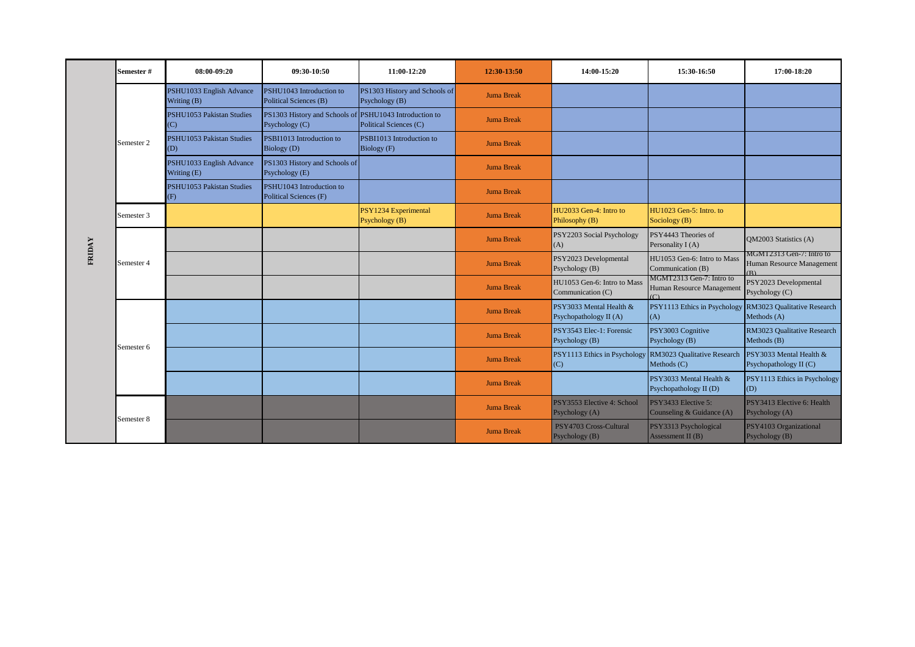|        | <b>Semester #</b> | 08:00-09:20                             | 09:30-10:50                                                              | 11:00-12:20                                     | 12:30-13:50       | 14:00-15:20                                       | 15:30-16:50                                                         | 17:00-18:20                                                 |
|--------|-------------------|-----------------------------------------|--------------------------------------------------------------------------|-------------------------------------------------|-------------------|---------------------------------------------------|---------------------------------------------------------------------|-------------------------------------------------------------|
|        |                   | PSHU1033 English Advance<br>Writing (B) | PSHU1043 Introduction to<br>Political Sciences (B)                       | PS1303 History and Schools of<br>Psychology (B) | <b>Juma Break</b> |                                                   |                                                                     |                                                             |
|        |                   | PSHU1053 Pakistan Studies<br>(C)        | PS1303 History and Schools of PSHU1043 Introduction to<br>Psychology (C) | Political Sciences (C)                          | <b>Juma Break</b> |                                                   |                                                                     |                                                             |
|        | Semester 2        | PSHU1053 Pakistan Studies<br>(D)        | PSBI1013 Introduction to<br>Biology (D)                                  | PSBI1013 Introduction to<br>Biology (F)         | <b>Juma Break</b> |                                                   |                                                                     |                                                             |
|        |                   | PSHU1033 English Advance<br>Writing (E) | PS1303 History and Schools of<br>Psychology (E)                          |                                                 | <b>Juma Break</b> |                                                   |                                                                     |                                                             |
|        |                   | PSHU1053 Pakistan Studies<br>(F)        | PSHU1043 Introduction to<br>Political Sciences (F)                       |                                                 | <b>Juma Break</b> |                                                   |                                                                     |                                                             |
|        | Semester 3        |                                         |                                                                          | PSY1234 Experimental<br>Psychology (B)          | <b>Juma Break</b> | HU2033 Gen-4: Intro to<br>Philosophy (B)          | HU1023 Gen-5: Intro. to<br>Sociology (B)                            |                                                             |
| FRIDAY | Semester 4        |                                         |                                                                          |                                                 | <b>Juma Break</b> | PSY2203 Social Psychology<br>(A)                  | PSY4443 Theories of<br>Personality I (A)                            | <b>OM2003</b> Statistics (A)                                |
|        |                   |                                         |                                                                          |                                                 | <b>Juma Break</b> | PSY2023 Developmental<br>Psychology (B)           | HU1053 Gen-6: Intro to Mass<br>Communication (B)                    | MGMT2313 Gen-7: Intro to<br>Human Resource Management<br>R) |
|        |                   |                                         |                                                                          |                                                 | <b>Juma Break</b> | HU1053 Gen-6: Intro to Mass<br>Communication (C)  | MGMT2313 Gen-7: Intro to<br>Human Resource Management<br>$\sqrt{2}$ | PSY2023 Developmental<br>Psychology (C)                     |
|        |                   |                                         |                                                                          |                                                 | <b>Juma Break</b> | PSY3033 Mental Health &<br>Psychopathology II (A) | PSY1113 Ethics in Psychology<br>(A)                                 | RM3023 Qualitative Research<br>Methods (A)                  |
|        | Semester 6        |                                         |                                                                          |                                                 | <b>Juma Break</b> | PSY3543 Elec-1: Forensic<br>Psychology (B)        | PSY3003 Cognitive<br>Psychology (B)                                 | RM3023 Qualitative Research<br>Methods (B)                  |
|        |                   |                                         |                                                                          |                                                 | <b>Juma Break</b> | PSY1113 Ethics in Psychology<br>(C)               | RM3023 Qualitative Research<br>Methods $(C)$                        | PSY3033 Mental Health &<br>Psychopathology II (C)           |
|        |                   |                                         |                                                                          |                                                 | <b>Juma Break</b> |                                                   | PSY3033 Mental Health &<br>Psychopathology II (D)                   | PSY1113 Ethics in Psychology<br>(D)                         |
|        | Semester 8        |                                         |                                                                          |                                                 | <b>Juma Break</b> | PSY3553 Elective 4: School<br>Psychology (A)      | PSY3433 Elective 5:<br>Counseling & Guidance (A)                    | PSY3413 Elective 6: Health<br>Psychology (A)                |
|        |                   |                                         |                                                                          |                                                 | <b>Juma Break</b> | PSY4703 Cross-Cultural<br>Psychology (B)          | PSY3313 Psychological<br>Assessment II (B)                          | PSY4103 Organizational<br>Psychology (B)                    |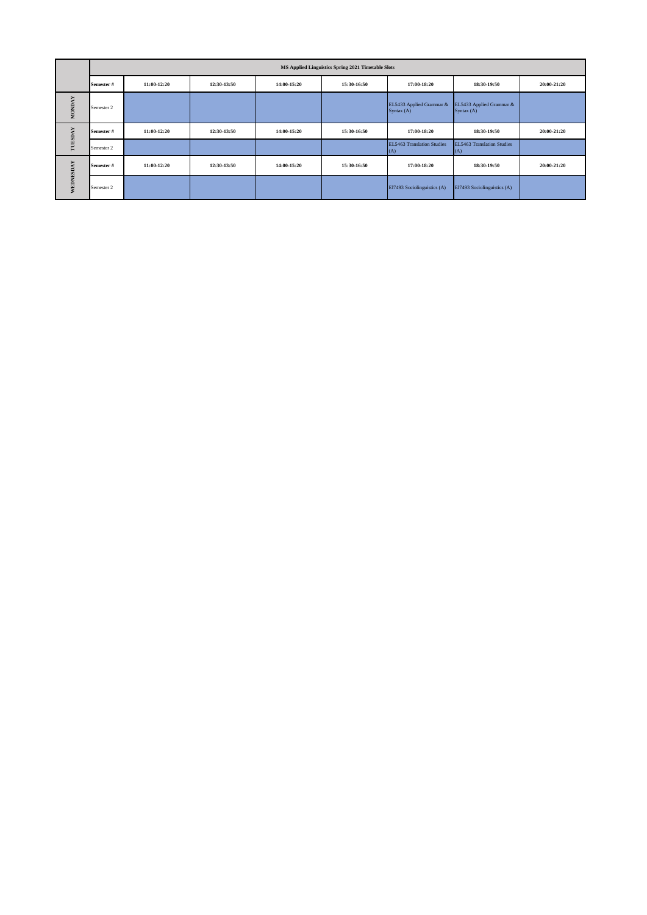|               |            |             |             |             | MS Applied Linguistics Spring 2021 Timetable Slots |                                        |                                        |             |
|---------------|------------|-------------|-------------|-------------|----------------------------------------------------|----------------------------------------|----------------------------------------|-------------|
|               | Semester # | 11:00-12:20 | 12:30-13:50 | 14:00-15:20 | 15:30-16:50                                        | 17:00-18:20                            | 18:30-19:50                            | 20:00-21:20 |
| <b>MONDAY</b> | Semester 2 |             |             |             |                                                    | EL5433 Applied Grammar &<br>Syntax (A) | EL5433 Applied Grammar &<br>Syntax (A) |             |
| ÅY            | Semester # | 11:00-12:20 | 12:30-13:50 | 14:00-15:20 | 15:30-16:50                                        | 17:00-18:20                            | 18:30-19:50                            | 20:00-21:20 |
| TUESD         | Semester 2 |             |             |             |                                                    | EL5463 Translation Studies<br>(A)      | EL5463 Translation Studies<br>(A)      |             |
| WEDNESDAY     | Semester # | 11:00-12:20 | 12:30-13:50 | 14:00-15:20 | 15:30-16:50                                        | 17:00-18:20                            | 18:30-19:50                            | 20:00-21:20 |
|               | Semester 2 |             |             |             |                                                    | El7493 Sociolinguistics (A)            | El7493 Sociolinguistics (A)            |             |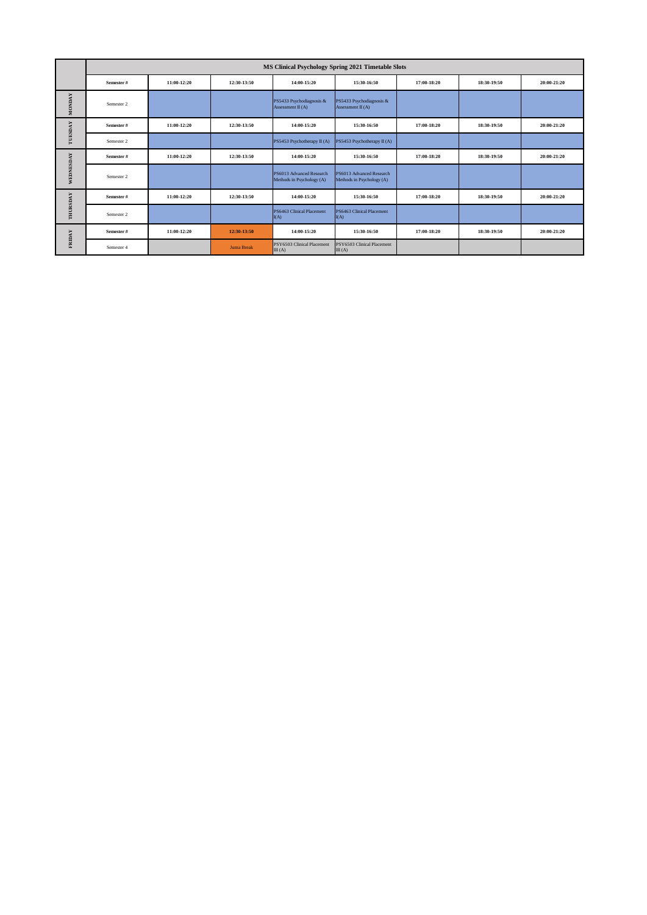|               | MS Clinical Psychology Spring 2021 Timetable Slots |             |                   |                                                       |                                                       |             |             |             |
|---------------|----------------------------------------------------|-------------|-------------------|-------------------------------------------------------|-------------------------------------------------------|-------------|-------------|-------------|
|               | Semester#                                          | 11:00-12:20 | 12:30-13:50       | 14:00-15:20                                           | 15:30-16:50                                           | 17:00-18:20 | 18:30-19:50 | 20:00-21:20 |
| <b>MONDAY</b> | Semester 2                                         |             |                   | PS5433 Psychodiagnosis &<br>Assessment II (A)         | PS5433 Psychodiagnosis &<br>Assessment II (A)         |             |             |             |
| TUESDAY       | Semester#                                          | 11:00-12:20 | 12:30-13:50       | 14:00-15:20                                           | 15:30-16:50                                           | 17:00-18:20 | 18:30-19:50 | 20:00-21:20 |
|               | Semester 2                                         |             |                   | PS5453 Psychotherapy II (A)                           | PS5453 Psychotherapy II (A)                           |             |             |             |
| WEDNESDAY     | Semester#                                          | 11:00-12:20 | 12:30-13:50       | 14:00-15:20                                           | 15:30-16:50                                           | 17:00-18:20 | 18:30-19:50 | 20:00-21:20 |
|               | Semester 2                                         |             |                   | PS6013 Advanced Research<br>Methods in Psychology (A) | PS6013 Advanced Research<br>Methods in Psychology (A) |             |             |             |
|               | Semester#                                          | 11:00-12:20 | 12:30-13:50       | 14:00-15:20                                           | 15:30-16:50                                           | 17:00-18:20 | 18:30-19:50 | 20:00-21:20 |
| THURSDAY      | Semester 2                                         |             |                   | PS6463 Clinical Placement<br>I(A)                     | PS6463 Clinical Placement<br>I(A)                     |             |             |             |
| FRIDAY        | Semester#                                          | 11:00-12:20 | 12:30-13:50       | 14:00-15:20                                           | 15:30-16:50                                           | 17:00-18:20 | 18:30-19:50 | 20:00-21:20 |
|               | Semester 4                                         |             | <b>Juma Break</b> | PSY6503 Clinical Placement<br>III(A)                  | PSY6503 Clinical Placement<br>III(A)                  |             |             |             |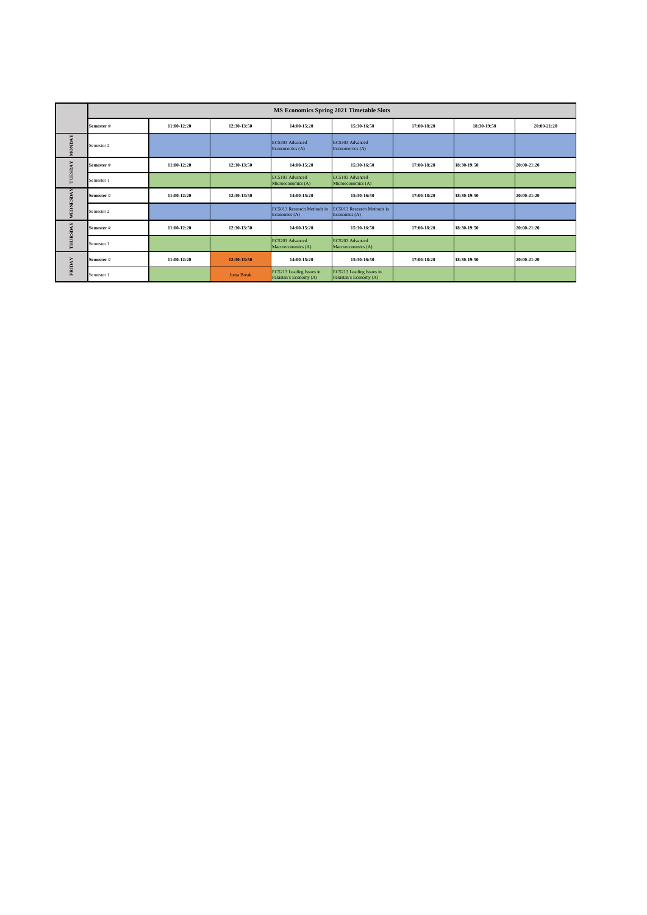|               | MS Economics Spring 2021 Timetable Slots |             |                   |                                                    |                                                    |             |             |             |
|---------------|------------------------------------------|-------------|-------------------|----------------------------------------------------|----------------------------------------------------|-------------|-------------|-------------|
|               | Semester#                                | 11:00-12:20 | 12:30-13:50       | 14:00-15:20                                        | 15:30-16:50                                        | 17:00-18:20 | 18:30-19:50 | 20:00-21:20 |
| <b>MONDAY</b> | Semester 2                               |             |                   | EC5303 Advanced<br>Econometrics (A)                | EC5303 Advanced<br>Econometrics (A)                |             |             |             |
| TUESDAY       | Semester#                                | 11:00-12:20 | 12:30-13:50       | 14:00-15:20                                        | 15:30-16:50                                        | 17:00-18:20 | 18:30-19:50 | 20:00-21:20 |
|               | Semester 1                               |             |                   | EC5103 Advanced<br>Microeconomics (A)              | EC5103 Advanced<br>Microeconomics (A)              |             |             |             |
|               | Semester#                                | 11:00-12:20 | 12:30-13:50       | 14:00-15:20                                        | 15:30-16:50                                        | 17:00-18:20 | 18:30-19:50 | 20:00-21:20 |
| WEDNESDAY     | Semester 2                               |             |                   | EC5013 Research Methods in<br>Economics (A)        | EC5013 Research Methods in<br>Economics (A)        |             |             |             |
|               | Semester#                                | 11:00-12:20 | 12:30-13:50       | 14:00-15:20                                        | 15:30-16:50                                        | 17:00-18:20 | 18:30-19:50 | 20:00-21:20 |
| THURSDAY      | Semester 1                               |             |                   | EC5203 Advanced<br>Macroeconomics (A)              | EC5203 Advanced<br>Macroeconomics (A)              |             |             |             |
| <b>FRIDAY</b> | Semester#                                | 11:00-12:20 | 12:30-13:50       | 14:00-15:20                                        | 15:30-16:50                                        | 17:00-18:20 | 18:30-19:50 | 20:00-21:20 |
|               | Semester 1                               |             | <b>Juma Break</b> | EC5213 Leading Issues in<br>Pakistan's Economy (A) | EC5213 Leading Issues in<br>Pakistan's Economy (A) |             |             |             |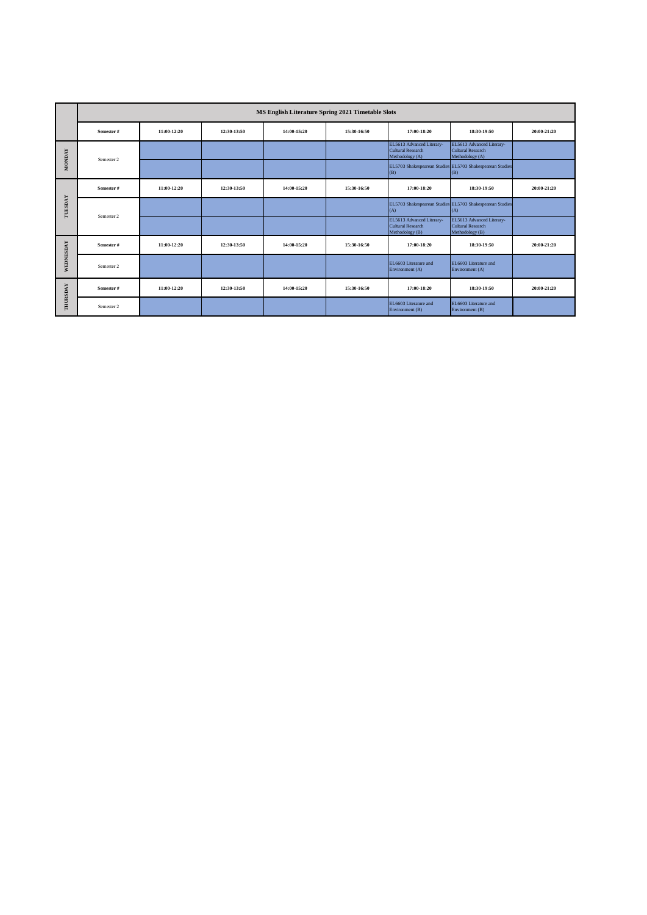|                | MS English Literature Spring 2021 Timetable Slots |             |             |             |             |                                                                          |                                                                          |             |
|----------------|---------------------------------------------------|-------------|-------------|-------------|-------------|--------------------------------------------------------------------------|--------------------------------------------------------------------------|-------------|
|                | Semester#                                         | 11:00-12:20 | 12:30-13:50 | 14:00-15:20 | 15:30-16:50 | 17:00-18:20                                                              | 18:30-19:50                                                              | 20:00-21:20 |
| <b>MONDAY</b>  | Semester 2                                        |             |             |             |             | EL5613 Advanced Literary-<br><b>Cultural Research</b><br>Methodology (A) | EL5613 Advanced Literary-<br><b>Cultural Research</b><br>Methodology (A) |             |
|                |                                                   |             |             |             |             | (B)                                                                      | EL5703 Shakespearean Studies EL5703 Shakespearean Studies<br>(B)         |             |
|                | Semester#                                         | 11:00-12:20 | 12:30-13:50 | 14:00-15:20 | 15:30-16:50 | 17:00-18:20                                                              | 18:30-19:50                                                              | 20:00-21:20 |
| <b>TUESDAY</b> | Semester 2                                        |             |             |             |             | (A)                                                                      | EL5703 Shakespearean Studies EL5703 Shakespearean Studies<br>(A)         |             |
|                |                                                   |             |             |             |             | EL5613 Advanced Literary-<br>Cultural Research<br>Methodology (B)        | EL5613 Advanced Literary-<br>Cultural Research<br>Methodology (B)        |             |
|                | Semester #                                        | 11:00-12:20 | 12:30-13:50 | 14:00-15:20 | 15:30-16:50 | 17:00-18:20                                                              | 18:30-19:50                                                              | 20:00-21:20 |
| WEDNESDAY      | Semester 2                                        |             |             |             |             | EL6603 Literature and<br>Environment (A)                                 | EL6603 Literature and<br>Environment (A)                                 |             |
| THURSDAY       | Semester#                                         | 11:00-12:20 | 12:30-13:50 | 14:00-15:20 | 15:30-16:50 | 17:00-18:20                                                              | 18:30-19:50                                                              | 20:00-21:20 |
|                | Semester 2                                        |             |             |             |             | EL6603 Literature and<br>Environment (B)                                 | EL6603 Literature and<br>Environment (B)                                 |             |